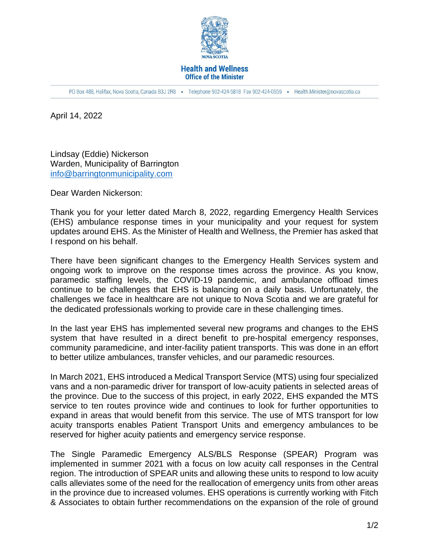

## **Health and Wellness Office of the Minister**

PO Box 488, Halifax, Nova Scotia, Canada B3J 2R8 · Telephone 902-424-5818 Fax 902-424-0559 · Health.Minister@novascotia.ca

April 14, 2022

Lindsay (Eddie) Nickerson Warden, Municipality of Barrington [info@barringtonmunicipality.com](mailto:info@barringtonmunicipality.com)

Dear Warden Nickerson:

Thank you for your letter dated March 8, 2022, regarding Emergency Health Services (EHS) ambulance response times in your municipality and your request for system updates around EHS. As the Minister of Health and Wellness, the Premier has asked that I respond on his behalf.

There have been significant changes to the Emergency Health Services system and ongoing work to improve on the response times across the province. As you know, paramedic staffing levels, the COVID-19 pandemic, and ambulance offload times continue to be challenges that EHS is balancing on a daily basis. Unfortunately, the challenges we face in healthcare are not unique to Nova Scotia and we are grateful for the dedicated professionals working to provide care in these challenging times.

In the last year EHS has implemented several new programs and changes to the EHS system that have resulted in a direct benefit to pre-hospital emergency responses, community paramedicine, and inter-facility patient transports. This was done in an effort to better utilize ambulances, transfer vehicles, and our paramedic resources.

In March 2021, EHS introduced a Medical Transport Service (MTS) using four specialized vans and a non-paramedic driver for transport of low-acuity patients in selected areas of the province. Due to the success of this project, in early 2022, EHS expanded the MTS service to ten routes province wide and continues to look for further opportunities to expand in areas that would benefit from this service. The use of MTS transport for low acuity transports enables Patient Transport Units and emergency ambulances to be reserved for higher acuity patients and emergency service response.

The Single Paramedic Emergency ALS/BLS Response (SPEAR) Program was implemented in summer 2021 with a focus on low acuity call responses in the Central region. The introduction of SPEAR units and allowing these units to respond to low acuity calls alleviates some of the need for the reallocation of emergency units from other areas in the province due to increased volumes. EHS operations is currently working with Fitch & Associates to obtain further recommendations on the expansion of the role of ground